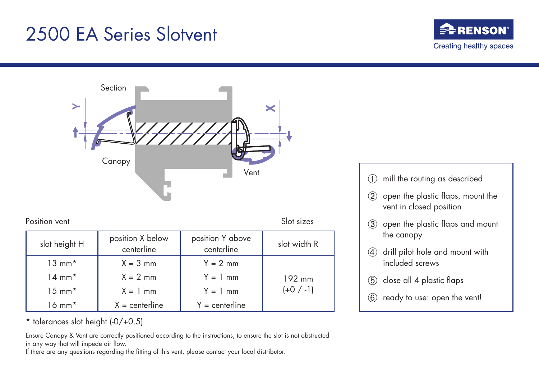## 2500 EA Series Slotvent





Position vent Slot sizes

| slot height H     | position X below<br>centerline | position Y above<br>centerline | slot width R          |
|-------------------|--------------------------------|--------------------------------|-----------------------|
| $13 \text{ mm}^*$ | $X = 3$ mm                     | $Y = 2$ mm                     | 192 mm<br>$(+0 / -1)$ |
| $14 \text{ mm}^*$ | $X = 2$ mm                     | $Y = 1$ mm                     |                       |
| $15 \text{ mm}^*$ | $X = 1$ mm                     | $Y = 1$ mm                     |                       |
| $16 \text{ mm}^*$ | $X =$ centerline               | $Y =$ centerline               |                       |

\* tolerances slot height (-0/+0.5)

Ensure Canopy & Vent are correctly positioned according to the instructions, to ensure the slot is not obstructed in any way that will impede air flow.

If there are any questions regarding the fitting of this vent, please contact your local distributor.

- ➀ mill the routing as described
- ➁ open the plastic flaps, mount the vent in closed position
- ➂ open the plastic flaps and mount the canopy
- ➃ drill pilot hole and mount with included screws
- ➄ close all 4 plastic flaps
- ➅ ready to use: open the vent!